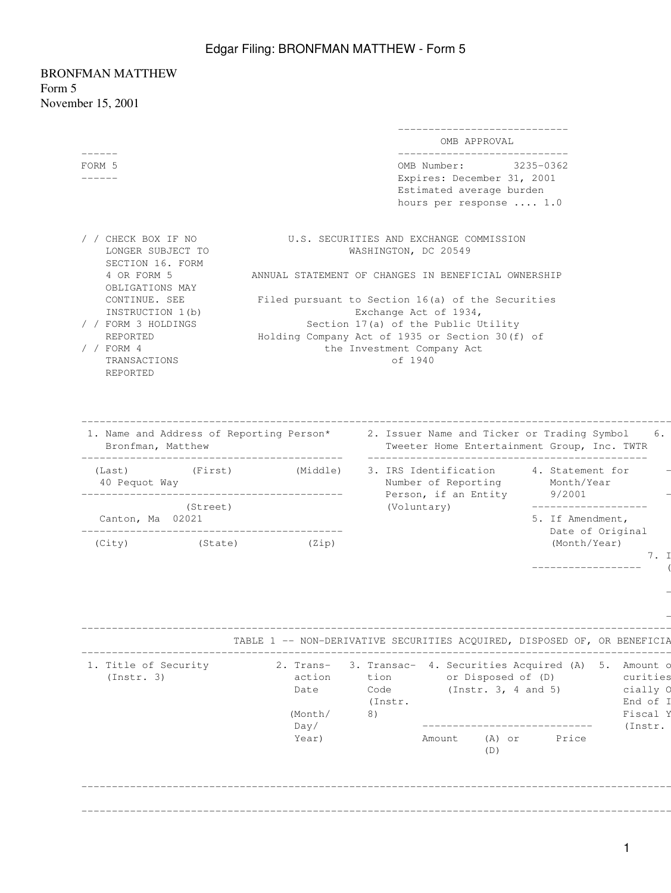## Edgar Filing: BRONFMAN MATTHEW - Form 5

BRONFMAN MATTHEW Form 5 November 15, 2001

|                                                                                                                                                                                                                    |                                                |                                                               | ____________________________<br>OMB APPROVAL                                                                                                                                                                                                                           |                                                                           |                                                         |
|--------------------------------------------------------------------------------------------------------------------------------------------------------------------------------------------------------------------|------------------------------------------------|---------------------------------------------------------------|------------------------------------------------------------------------------------------------------------------------------------------------------------------------------------------------------------------------------------------------------------------------|---------------------------------------------------------------------------|---------------------------------------------------------|
| $- - - - -$<br>FORM 5<br>-------                                                                                                                                                                                   |                                                |                                                               | _______________________________<br>OMB Number: 3235-0362<br>Expires: December 31, 2001<br>Estimated average burden<br>hours per response  1.0                                                                                                                          |                                                                           |                                                         |
| / / CHECK BOX IF NO<br>LONGER SUBJECT TO<br>SECTION 16. FORM<br>4 OR FORM 5<br>OBLIGATIONS MAY<br>CONTINUE. SEE<br>INSTRUCTION 1(b)<br>/ / FORM 3 HOLDINGS<br>REPORTED<br>/ $/$ FORM 4<br>TRANSACTIONS<br>REPORTED |                                                | WASHINGTON, DC 20549<br>the Investment Company Act<br>of 1940 | U.S. SECURITIES AND EXCHANGE COMMISSION<br>ANNUAL STATEMENT OF CHANGES IN BENEFICIAL OWNERSHIP<br>Filed pursuant to Section 16(a) of the Securities<br>Exchange Act of 1934,<br>Section 17(a) of the Public Utility<br>Holding Company Act of 1935 or Section 30(f) of |                                                                           |                                                         |
| 1. Name and Address of Reporting Person*<br>Bronfman, Matthew<br>(Last) (First) (Middle)<br>40 Pequot Way                                                                                                          |                                                |                                                               | 2. Issuer Name and Ticker or Trading Symbol<br>Tweeter Home Entertainment Group, Inc. TWTR<br>3. IRS Identification 4. Statement for<br>Number of Reporting Month/Year                                                                                                 |                                                                           | 6.                                                      |
| (Street)<br>Canton, Ma 02021                                                                                                                                                                                       |                                                |                                                               | Person, if an Entity 9/2001<br>(Voluntary)                                                                                                                                                                                                                             | _____________________<br>5. If Amendment,                                 |                                                         |
| (City) (State) (Zip)                                                                                                                                                                                               |                                                |                                                               |                                                                                                                                                                                                                                                                        | Date of Original<br>(Month/Year)<br>. _ _ _ _ _ _ _ _ _ _ _ _ _ _ _ _ _ _ | 7. I                                                    |
| 1. Title of Security<br>(Instr. 3)                                                                                                                                                                                 | 2. Trans-<br>action<br>Date<br>(Month/<br>Day/ | tion<br>Code<br>(Instr.<br>8)                                 | TABLE 1 -- NON-DERIVATIVE SECURITIES ACQUIRED, DISPOSED OF, OR BENEFICIA<br>3. Transac- 4. Securities Acquired (A) 5. Amount o<br>or Disposed of (D)<br>(Instr. 3, 4 and 5)<br>--------------------------                                                              |                                                                           | curities<br>cially O<br>End of I<br>Fiscal Y<br>(Instr. |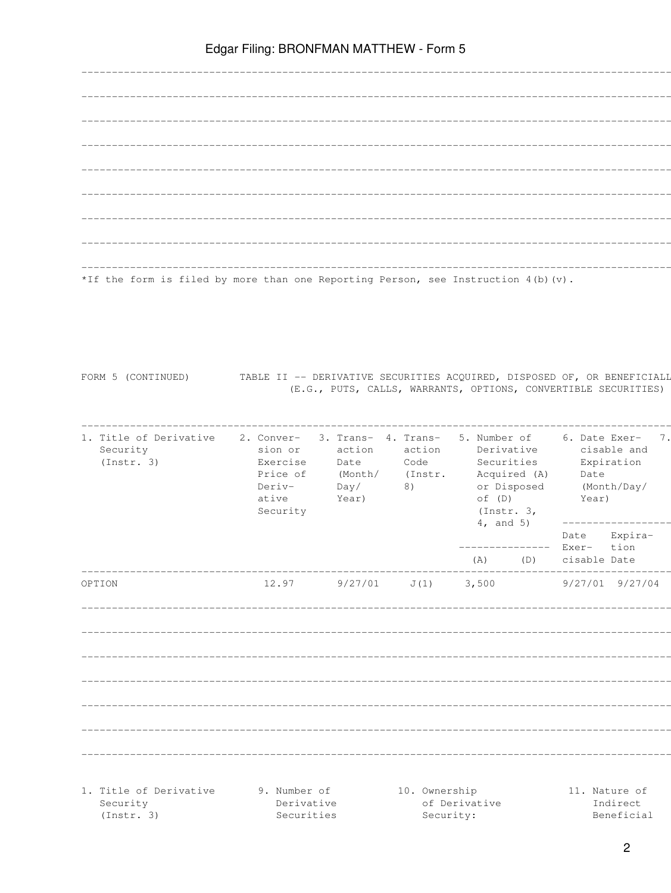| *If the form is filed by more than one Reporting Person, see Instruction 4(b) (v). |                                                                         |                         |               |                                                                |     |                            |             |    |
|------------------------------------------------------------------------------------|-------------------------------------------------------------------------|-------------------------|---------------|----------------------------------------------------------------|-----|----------------------------|-------------|----|
|                                                                                    |                                                                         |                         |               |                                                                |     |                            |             |    |
|                                                                                    |                                                                         |                         |               |                                                                |     |                            |             |    |
|                                                                                    |                                                                         |                         |               |                                                                |     |                            |             |    |
| FORM 5 (CONTINUED)                                                                 | TABLE II -- DERIVATIVE SECURITIES ACQUIRED, DISPOSED OF, OR BENEFICIALL |                         |               |                                                                |     |                            |             |    |
|                                                                                    |                                                                         |                         |               | (E.G., PUTS, CALLS, WARRANTS, OPTIONS, CONVERTIBLE SECURITIES) |     |                            |             |    |
| 1. Title of Derivative                                                             | 2. Conver-                                                              | 3. Trans- 4. Trans-     |               | 5. Number of                                                   |     | 6. Date Exer-              |             |    |
| Security                                                                           | sion or                                                                 | action                  | action        | Derivative                                                     |     |                            | cisable and | 7. |
| (Insert. 3)                                                                        | Exercise<br>Price of                                                    | Date<br>(Month/ (Instr. | Code          | Securities<br>Acquired (A)                                     |     | Date                       | Expiration  |    |
|                                                                                    | Deriv-<br>ative                                                         | Day/<br>Year)           | 8)            | or Disposed<br>$\circ f$ (D)                                   |     | Year)                      | (Month/Day/ |    |
|                                                                                    | Security                                                                |                         |               | (Insert. 3,<br>$4,$ and 5)                                     |     |                            |             |    |
|                                                                                    |                                                                         |                         |               |                                                                |     | Date Expira-<br>Exer- tion |             |    |
|                                                                                    |                                                                         |                         |               | (A)                                                            | (D) | cisable Date               |             |    |
| OPTION                                                                             | 12.97 9/27/01 J(1) 3,500 9/27/01 9/27/04                                |                         |               |                                                                |     |                            |             |    |
|                                                                                    |                                                                         |                         |               |                                                                |     |                            |             |    |
|                                                                                    |                                                                         |                         |               |                                                                |     |                            |             |    |
|                                                                                    |                                                                         |                         |               |                                                                |     |                            |             |    |
|                                                                                    |                                                                         |                         |               |                                                                |     |                            |             |    |
|                                                                                    |                                                                         |                         |               |                                                                |     |                            |             |    |
|                                                                                    |                                                                         |                         |               |                                                                |     |                            |             |    |
|                                                                                    |                                                                         |                         |               |                                                                |     |                            |             |    |
|                                                                                    |                                                                         |                         |               |                                                                |     |                            |             |    |
|                                                                                    |                                                                         |                         |               |                                                                |     |                            |             |    |
| 1. Title of Derivative<br>Security                                                 | 9. Number of<br>Derivative                                              |                         | 10. Ownership | of Derivative                                                  |     | 11. Nature of              | Indirect    |    |